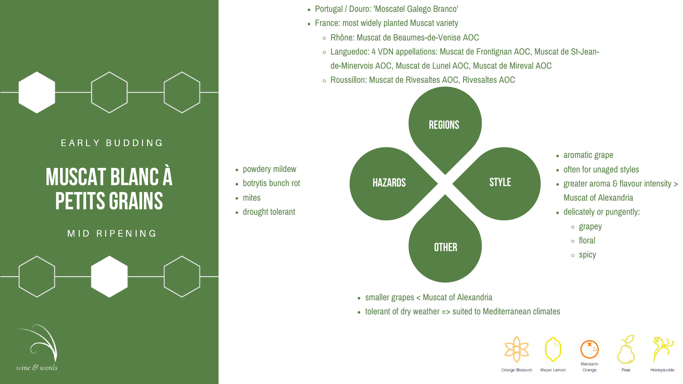

#### E A R L Y B U D D I N G

## **muscat blanc à PETITS GRAINS**

#### MID RIPENING



- botrytis bunch rot
- mites
- drought tolerant

- Portugal / Douro: 'Moscatel Galego Branco'
- France: most widely planted Muscat variety
	- Rhône: Muscat de Beaumes-de-Venise AOC
	-
	- Roussillon: Muscat de Rivesaltes AOC, Rivesaltes AOC

Languedoc: 4 VDN appellations: Muscat de Frontignan AOC, Muscat de St-Jeande-Minervois AOC, Muscat de Lunel AOC, Muscat de Mireval AOC

#### powdery mildew

- smaller grapes < Muscat of Alexandria
- 

tolerant of dry weather => suited to Mediterranean climates









Pear



Orange Blossum

Meyer Lemor

Honeysuckle



- aromatic grape
- often for unaged styles
- greater aroma  $\epsilon$  flavour intensity  $>$ Muscat of Alexandria
- delicately or pungently:
	- o grapey
	- floral
	- $\circ$  spicy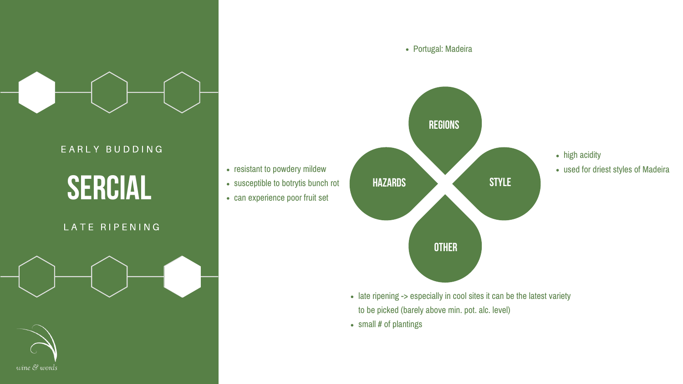## **sercial**

### LATE RIPENING





### E A R L Y B U D D I N G

- resistant to powdery mildew
- susceptible to botrytis bunch rot
- can experience poor fruit set

- 
- small # of plantings

Portugal: Madeira

- high acidity
- used for driest styles of Madeira

• late ripening -> especially in cool sites it can be the latest variety to be picked (barely above min. pot. alc. level)

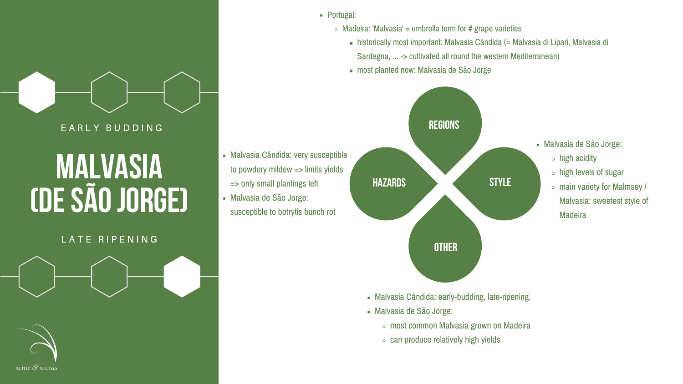# **malvasia (de São Jorge)**

E A R L Y B U D D I N G

### LATE RIPENING



- Malvasia de São Jorge:
	- $\circ$  high acidity
	- high levels of sugar
	- main variety for Malmsey / Malvasia: sweetest style of **Madeira**

- Portugal:
	- $\circ$  Madeira: 'Malvasia' = umbrella term for # grape varieties
		-
		- most planted now: Malvasia de São Jorge

historically most important: Malvasia Cândida (= Malvasia di Lipari, Malvasia di Sardegna, ... -> cultivated all round the western Mediterranean)

- Malvasia Cândida: early-budding, late-ripening.
- Malvasia de São Jorge:
	- most common Malvasia grown on Madeira
	- $\circ$  can produce relatively high yields



- Malvasia Cândida: very susceptible to powdery mildew => limits yields => only small plantings left
- Malvasia de São Jorge: susceptible to botrytis bunch rot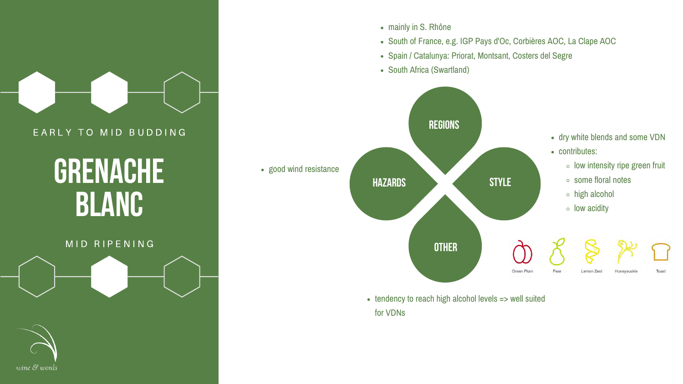

### EARLY TO MID BUDDING

## **grenache blanc**

#### MID RIPENING





- mainly in S. Rhône
- 
- 
- 

• good wind resistance

South of France, e.g. IGP Pays d'Oc, Corbières AOC, La Clape AOC Spain / Catalunya: Priorat, Montsant, Costers del Segre South Africa (Swartland)

for VDNs



• tendency to reach high alcohol levels => well suited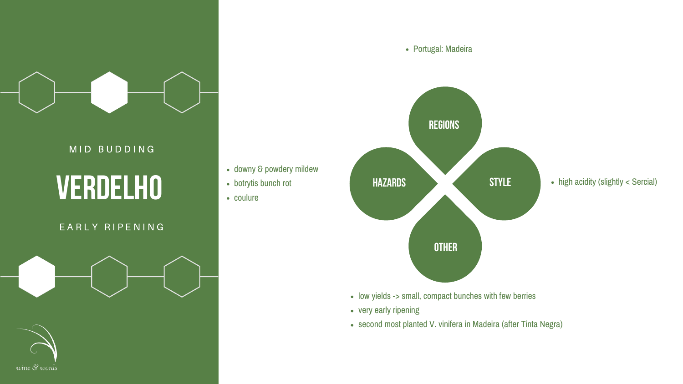

### MID BUDDING

## **verdelho**

### E A R L Y R I P E N I N G



- downy & powdery mildew
- botrytis bunch rot
- coulure

- 
- very early ripening
- 



• high acidity (slightly < Sercial)

• low yields -> small, compact bunches with few berries

second most planted V. vinifera in Madeira (after Tinta Negra)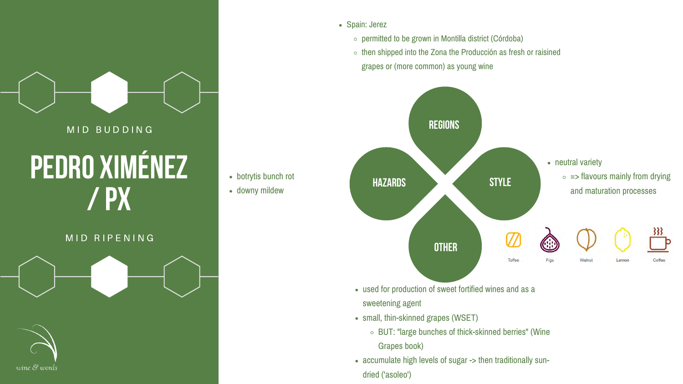# **/ PX**

#### MID RIPENING





- Spain: Jerez
	-
	- -

• botrytis bunch rot

 $\circ$  permitted to be grown in Montilla district (Córdoba)  $\circ$  then shipped into the Zona the Producción as fresh or raisined grapes or (more common) as young wine

used for production of sweet fortified wines and as a

◦ BUT: "large bunches of thick-skinned berries" (Wine

- sweetening agent
- small, thin-skinned grapes (WSET)
	- - Grapes book)
- dried ('asoleo')

accumulate high levels of sugar -> then traditionally sun-



downy mildew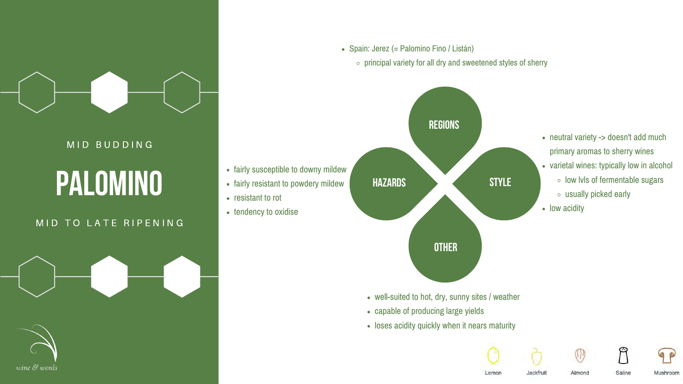

#### MID BUDDING

## **palomino**

### MID TO LATE RIPENING



Spain: Jerez (= Palomino Fino / Listán)

#### • fairly susceptible to downy mildew

- fairly resistant to powdery mildew
- resistant to rot
- tendency to oxidise

well-suited to hot, dry, sunny sites / weather • loses acidity quickly when it nears maturity











Jackfruit

Almond

Saline

- 
- capable of producing large yields
- 

## $\circ$  principal variety for all dry and sweetened styles of sherry



- neutral variety -> doesn't add much primary aromas to sherry wines
- varietal wines: typically low in alcohol
	- $\circ$  low lvls of fermentable sugars
	- usually picked early
- low acidity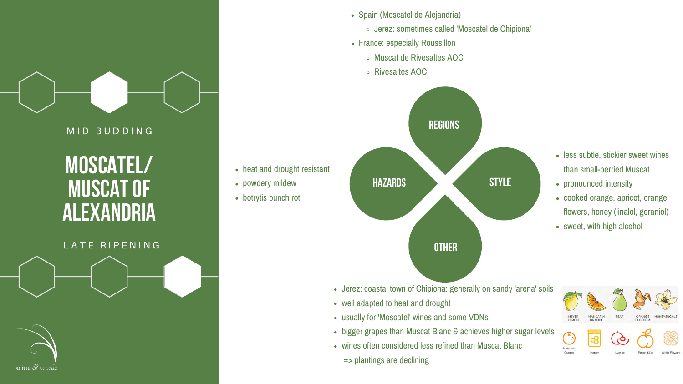## **moscatel/ muscat of alexandria**

#### LATE RIPENING



- heat and drought resistant
- powdery mildew
- botrytis bunch rot

- Spain (Moscatel de Alejandría) Jerez: sometimes called 'Moscatel de Chipiona' France: especially Roussillon
- 
- - Muscat de Rivesaltes AOC
	- Rivesaltes AOC

### MID BUDDING

- 
- Jerez: coastal town of Chipiona: generally on sandy 'arena' soils well adapted to heat and drought
- usually for 'Moscatel' wines and some VDNs
- bigger grapes than Muscat Blanc & achieves higher sugar levels
- wines often considered less refined than Muscat Blanc => plantings are declining



- less subtle, stickier sweet wines than small-berried Muscat
- pronounced intensity
- cooked orange, apricot, orange flowers, honey (linalol, geraniol)
- sweet, with high alcohol

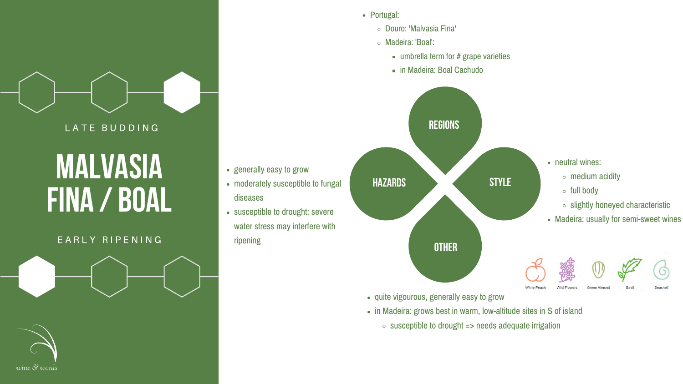## **malvasia fina / boal**

#### E A R L Y R I P E N I N G



• generally easy to grow



 $\blacksquare$  umbrella term for # grape varieties in Madeira: Boal Cachudo

- Portugal:
	- Douro: 'Malvasia Fina'
	- Madeira: 'Boal':
		-
		-



- moderately susceptible to fungal diseases
- susceptible to drought: severe water stress may interfere with ripening

- in Madeira: grows best in warm, low-altitude sites in S of island
	- $\circ$  susceptible to drought => needs adequate irrigation

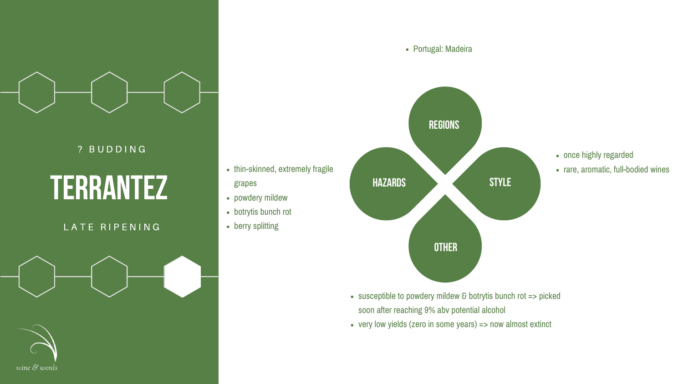## **terrantez**

### LATE RIPENING



- thin-skinned, extremely fragile grapes
- powdery mildew
- botrytis bunch rot
- berry splitting

- 
- 

### ? B U D D I N G





• susceptible to powdery mildew & botrytis bunch rot => picked soon after reaching 9% abv potential alcohol very low yields (zero in some years) => now almost extinct



- once highly regarded
- rare, aromatic, full-bodied wines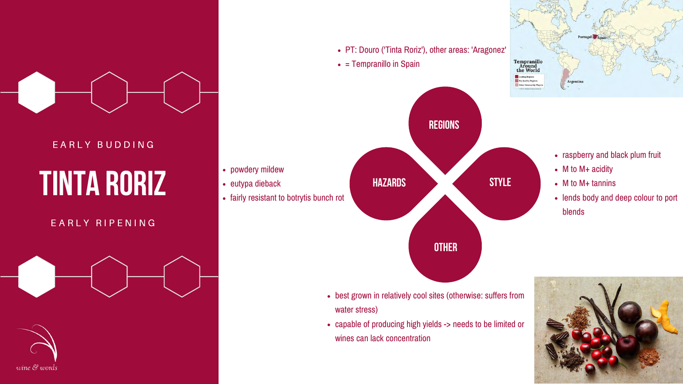# **Tinta roriz**

### E A R L Y R I P E N I N G





#### E A R L Y B U D D I N G

- powdery mildew
- eutypa dieback
- fairly resistant to botrytis bunch rot

PT: Douro ('Tinta Roriz'), other areas: 'Aragonez'

 $\bullet$  = Tempranillo in Spain

- raspberry and black plum fruit
- M to M+ acidity
- M to M+ tannins
- lends body and deep colour to port blends



- best grown in relatively cool sites (otherwise: suffers from water stress)
- capable of producing high yields -> needs to be limited or wines can lack concentration



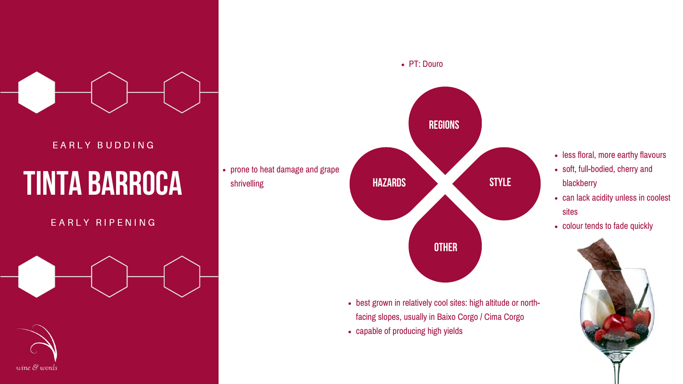# **Tinta barroca**

### E A R L Y R I P E N I N G





#### E A R L Y B U D D I N G

prone to heat damage and grape shrivelling

- 
- capable of producing high yields



best grown in relatively cool sites: high altitude or northfacing slopes, usually in Baixo Corgo / Cima Corgo

- less floral, more earthy flavours
- soft, full-bodied, cherry and blackberry
- can lack acidity unless in coolest sites
- colour tends to fade quickly

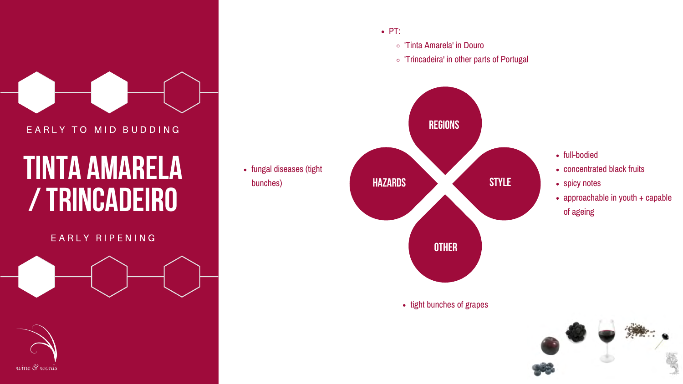

#### E A R L Y T O M I D B U D D I N G

## **tinta amarela / trincadeiro**

#### E A R L Y R I P E N I N G



### 'Tinta Amarela' in Douro 'Trincadeira' in other parts of Portugal



 $\bullet$  PT:



- full-bodied
- concentrated black fruits
- spicy notes
- approachable in youth + capable of ageing





#### • tight bunches of grapes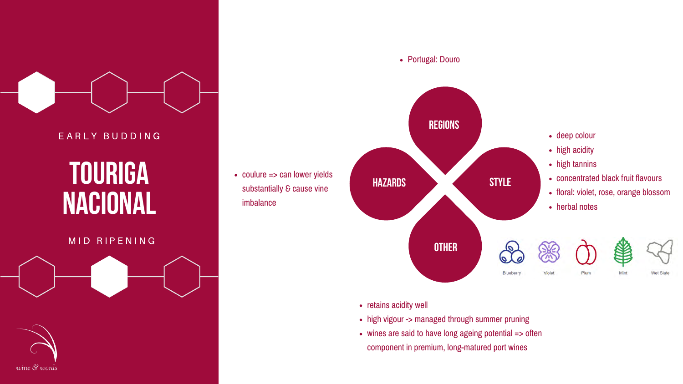## **touriga nacional**

#### MID RIPENING



E A R L Y B U D D I N G

• high vigour -> managed through summer pruning wines are said to have long ageing potential => often component in premium, long-matured port wines

• coulure => can lower yields substantially & cause vine imbalance



- retains acidity well
- 
-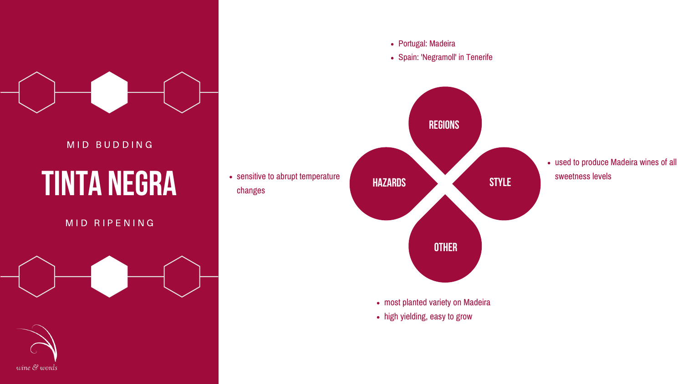

#### M I D B U D D I N G

# **tinta negra**

#### M I D R I P E N I N G



- Portugal: Madeira
- 



used to produce Madeira wines of all sweetness levels

• most planted variety on Madeira

• sensitive to abrupt temperature changes

- 
- high yielding, easy to grow

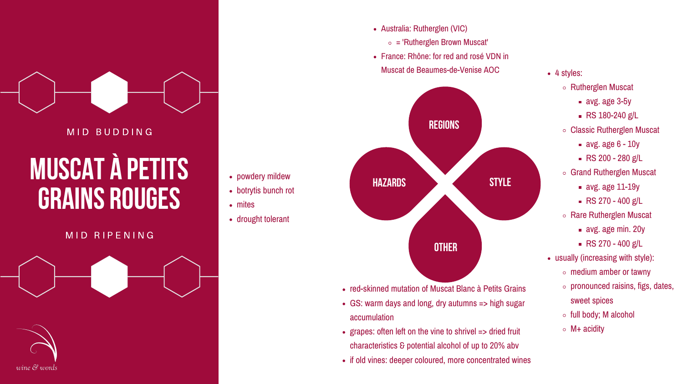

#### MID BUDDING

## **muscat à petits grains rouges**

#### M I D R I P E N I N G



- Australia: Rutherglen (VIC)
	-
- -
- - Rutherglen Muscat
		- avg. age 3-5y
		- **RS 180-240 g/L**
	- Classic Rutherglen Muscat
		- $\blacksquare$  avg. age 6 10y
		- $RS 200 280 g/L$
	- Grand Rutherglen Muscat
		- avg. age 11-19y
		- $\textsf{RS}$  RS 270 400 g/L
	- Rare Rutherglen Muscat
		- avg. age min. 20y
		- $\textsf{RS}$  RS 270 400 g/L
- usually (increasing with style):
	- $\circ$  medium amber or tawny
	- $\circ$  pronounced raisins, figs, dates, sweet spices
	- full body; M alcohol
	- $\circ$  M+ acidity

• red-skinned mutation of Muscat Blanc à Petits Grains GS: warm days and long, dry autumns => high sugar

grapes: often left on the vine to shrivel => dried fruit characteristics & potential alcohol of up to 20% abv • if old vines: deeper coloured, more concentrated wines

- botrytis bunch rot
- mites
- drought tolerant

- 
- accumulation
- 
- 

 $\circ$  = 'Rutherglen Brown Muscat' France: Rhône: for red and rosé VDN in Muscat de Beaumes-de-Venise AOC • 4 styles:



#### powdery mildew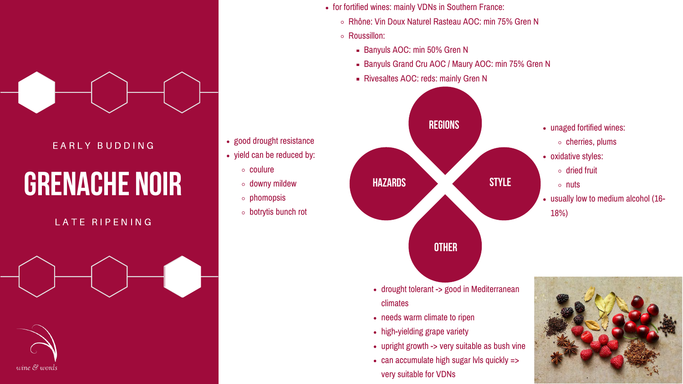- for fortified wines: mainly VDNs in Southern France:
	-
	- Roussillon:
		- Banyuls AOC: min 50% Gren N
		-
		- **Rivesaltes AOC: reds: mainly Gren N**

### • good drought resistance

# **grenache noir**

### LATE RIPENING



### E A R L Y B U D D I N G

Rhône: Vin Doux Naturel Rasteau AOC: min 75% Gren N

**Banyuls Grand Cru AOC / Maury AOC: min 75% Gren N** 

- yield can be reduced by:
	- coulure
	- downy mildew
	- $\circ$  phomopsis
	- botrytis bunch rot

drought tolerant -> good in Mediterranean





- climates
- needs warm climate to ripen
- high-yielding grape variety
- upright growth -> very suitable as bush vine • can accumulate high sugar lvls quickly =>
- very suitable for VDNs

### **OTHER**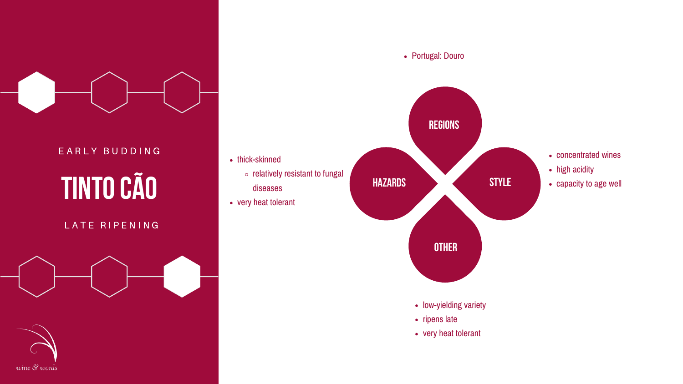# **tinto cão**

### L A T E R I P E N I N G



- thick-skinned
	- $\circ$  relatively resistant to fungal diseases
- very heat tolerant

- 
- 
- 



### E A R L Y B U D D I N G

- concentrated wines
- high acidity
- capacity to age well

• low-yielding variety • ripens late very heat tolerant

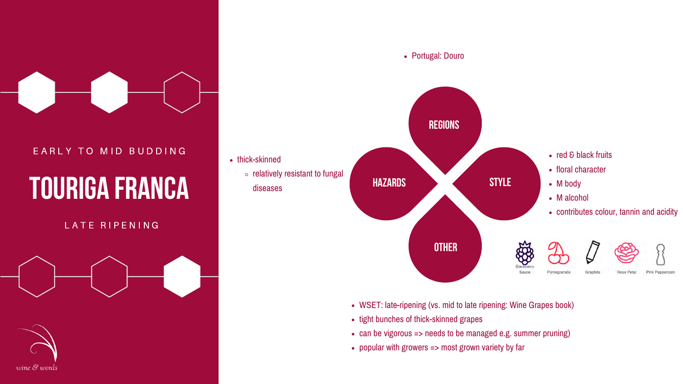### EARLY TO MID BUDDING

## **touriga franca**

### LATE RIPENING



- thick-skinned
	- $\circ$  relatively resistant to fungal diseases

- 
- tight bunches of thick-skinned grapes
- 
- 



WSET: late-ripening (vs. mid to late ripening: Wine Grapes book) • can be vigorous => needs to be managed e.g. summer pruning) popular with growers => most grown variety by far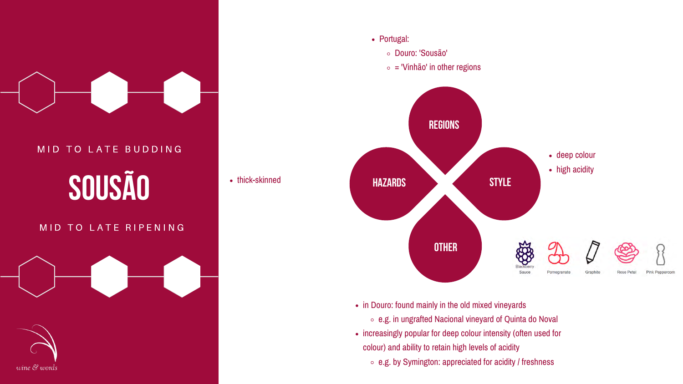

## **sousão** MID TO LATE BUDDING

### M I D TO LATE RIPENING



• thick-skinned

Portugal: Douro: 'Sousão'

• in Douro: found mainly in the old mixed vineyards e.g. in ungrafted Nacional vineyard of Quinta do Noval • increasingly popular for deep colour intensity (often used for colour) and ability to retain high levels of acidity ○ e.g. by Symington: appreciated for acidity / freshness

- -